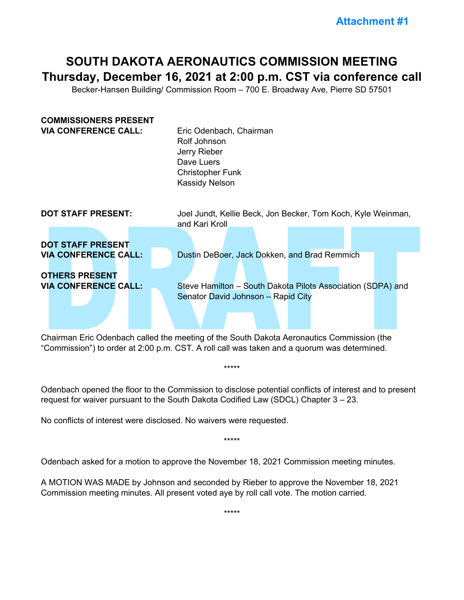## **SOUTH DAKOTA AERONAUTICS COMMISSION MEETING Thursday, December 16, 2021 at 2:00 p.m. CST via conference call**

Becker-Hansen Building/ Commission Room – 700 E. Broadway Ave, Pierre SD 57501

| <b>COMMISSIONERS PRESENT</b><br><b>VIA CONFERENCE CALL:</b> | Eric Odenbach, Chairman<br>Rolf Johnson<br>Jerry Rieber<br>Dave Luers<br><b>Christopher Funk</b><br>Kassidy Nelson |
|-------------------------------------------------------------|--------------------------------------------------------------------------------------------------------------------|
| <b>DOT STAFF PRESENT:</b>                                   | Joel Jundt, Kellie Beck, Jon Becker, Tom Koch, Kyle Weinman,                                                       |
| <b>DOT STAFF PRESENT</b>                                    | and Kari Kroll                                                                                                     |
| <b>VIA CONFERENCE CALL:</b>                                 | Dustin DeBoer, Jack Dokken, and Brad Remmich                                                                       |
| <b>OTHERS PRESENT</b>                                       | Steve Hamilton - South Dakota Pilots Association (SDPA) and                                                        |
| <b>VIA CONFERENCE CALL:</b>                                 | Senator David Johnson - Rapid City                                                                                 |

Chairman Eric Odenbach called the meeting of the South Dakota Aeronautics Commission (the "Commission") to order at 2:00 p.m. CST. A roll call was taken and a quorum was determined.

Odenbach opened the floor to the Commission to disclose potential conflicts of interest and to present request for waiver pursuant to the South Dakota Codified Law (SDCL) Chapter 3 – 23.

\*\*\*\*\*

\*\*\*\*\*

No conflicts of interest were disclosed. No waivers were requested.

Odenbach asked for a motion to approve the November 18, 2021 Commission meeting minutes.

A MOTION WAS MADE by Johnson and seconded by Rieber to approve the November 18, 2021 Commission meeting minutes. All present voted aye by roll call vote. The motion carried.

\*\*\*\*\*